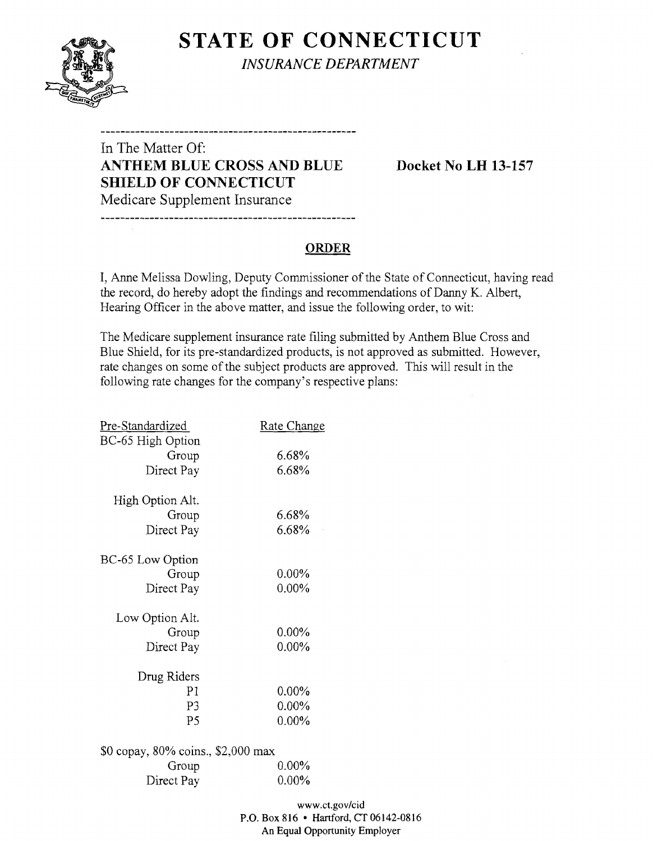**STATE OF CONNECTICUT** *INSURANCE DEPARTMENT* 

## In The Matter Of: **ANTHEM BLUE CROSS AND BLUE Docket No LH 13-157 SHIELD OF CONNECTICUT**  Medicare Supplement Insurance

--------------------------------

#### **ORDER**

I, Anne Melissa Dowling, Deputy Commissioner of the State of Connecticut, having read the record, do hereby adopt the findings and recommendations of Danny K. Albert, Hearing Officer in the above matter, and issue the following order, to wit:

The Medicare supplement insurance rate filing submitted by Anthem Blue Cross and Blue Shield, for its pre-standardized products, is not approved as submitted. However, rate changes on some of the subject products are approved. This will result in the following rate changes for the company's respective plans:

| Pre-Standardized                   | Rate Change |
|------------------------------------|-------------|
| BC-65 High Option<br>Group         | 6.68%       |
|                                    |             |
| Direct Pay                         | 6.68%       |
| High Option Alt.                   |             |
| Group                              | 6.68%       |
| Direct Pay                         | 6.68%       |
|                                    |             |
| BC-65 Low Option                   |             |
| Group                              | $0.00\%$    |
| Direct Pay                         | $0.00\%$    |
| Low Option Alt.                    |             |
| Group                              | $0.00\%$    |
|                                    | $0.00\%$    |
| Direct Pay                         |             |
| Drug Riders                        |             |
| P <sub>1</sub>                     | $0.00\%$    |
| P3                                 | $0.00\%$    |
| P5                                 | $0.00\%$    |
|                                    |             |
| \$0 copay, 80% coins., \$2,000 max |             |
| Group                              | $0.00\%$    |
| Direct Pay                         | $0.00\%$    |

www.ct.gov/cid P.O. Box 816 • Hartford, CT 06142-0816 An Equal Opportunity Employer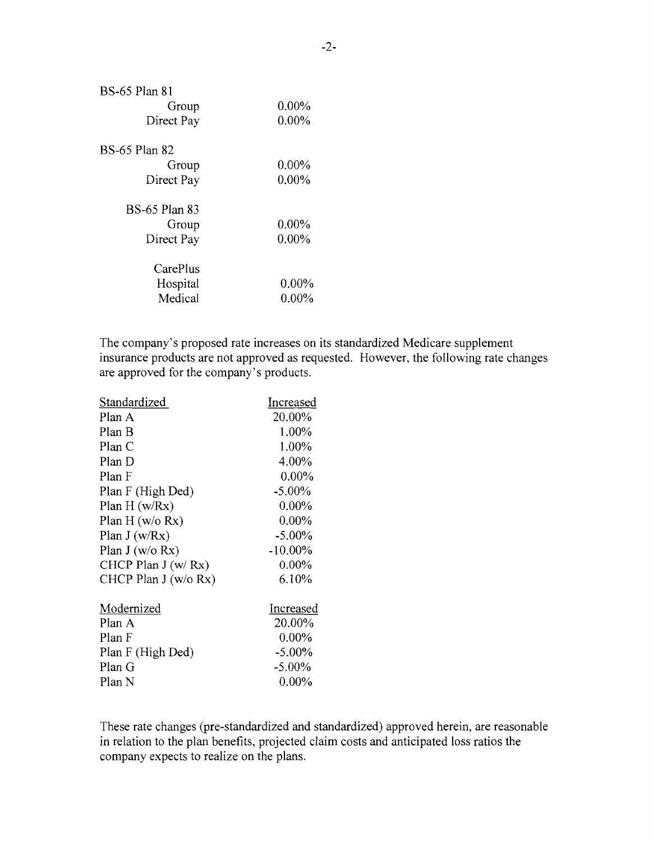| $0.00\%$ |
|----------|
| $0.00\%$ |
|          |
| $0.00\%$ |
| $0.00\%$ |
|          |
| $0.00\%$ |
| $0.00\%$ |
|          |
| $0.00\%$ |
| $0.00\%$ |
|          |

The company's proposed rate increases on its standardized Medicare supplement insurance products are not approved as requested. However, the following rate changes are approved for the company's products.

| Standardized          | Increased  |
|-----------------------|------------|
| Plan A                | 20.00%     |
| Plan B                | 1.00%      |
| Plan C                | 1.00%      |
| Plan D                | 4.00%      |
| Plan F                | $0.00\%$   |
| Plan F (High Ded)     | $-5.00\%$  |
| Plan $H(w/Rx)$        | $0.00\%$   |
| Plan H $(w/o Rx)$     | $0.00\%$   |
| Plan $J(w/Rx)$        | $-5.00\%$  |
| Plan J $(w/o Rx)$     | $-10.00\%$ |
| CHCP Plan $J(w/Rx)$   | $0.00\%$   |
| CHCP Plan $J(w/o Rx)$ | 6.10%      |
| Modernized            | Increased  |
| Plan A                | 20.00%     |
| Plan F                | $0.00\%$   |
| Plan F (High Ded)     | $-5.00\%$  |
| Plan G                | $-5.00\%$  |
| Plan N                | $0.00\%$   |

These rate changes (pre-standardized and standardized) approved herein, are reasonable in relation to the plan benefits, projected claim costs and anticipated loss ratios the company expects to realize on the plans.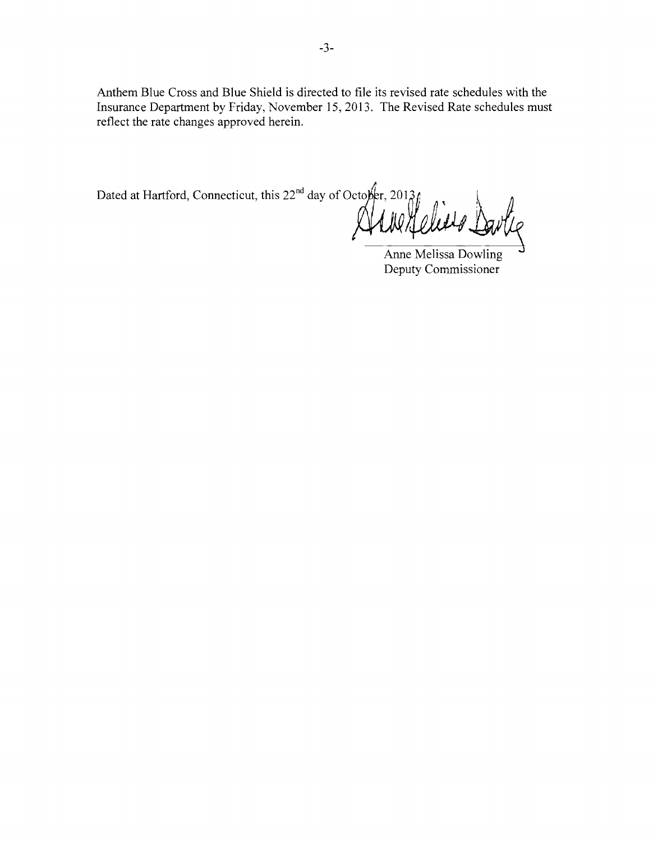Anthem Blue Cross and Blue Shield is directed to file its revised rate schedules with the Insurance Department by Friday, November 15,2013. The Revised Rate schedules must reflect the rate changes approved herein.

 $\mathcal{L}^{\dagger}$ Dated at Hartford, Connecticut, this 22<sup>nd</sup> day of Octo $\not\models r, 2013f_0$ 

Anne Melissa Dowling Deputy Commissioner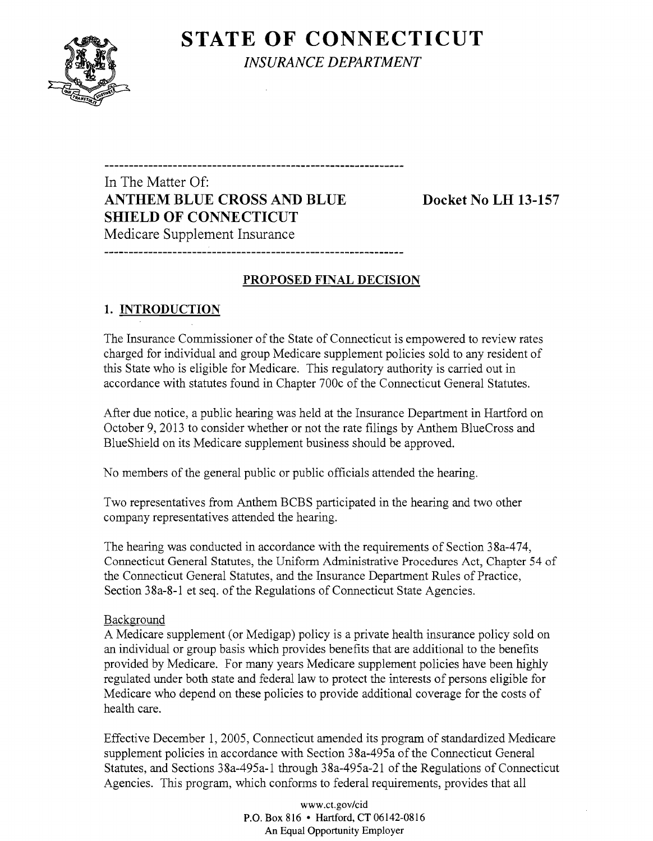

**STATE OF CONNECTICUT** *INSURANCE DEPARTMENT* 

In The Matter Of: **ANTHEM BLUE CROSS AND BLUE Docket No LH 13-157 SHIELD OF CONNECTICUT**  Medicare Supplement Insurance

### **PROPOSED FINAL DECISION**

------------------------------

### **1. INTRODUCTION**

The Insurance Commissioner of the State of Connecticut is empowered to review rates charged for individual and group Medicare supplement policies sold to any resident of this State who is eligible for Medicare. This regulatory authority is carried out in accordance with statutes found in Chapter 700c of the Connecticut General Statutes.

After due notice, a public hearing was held at the Insurance Department in Hartford on October 9, 2013 to consider whether or not the rate filings by Anthem BlueCross and BlueShield on its Medicare supplement business should be approved.

No members of the general public or public officials attended the hearing.

Two representatives from Anthem BCBS participated in the hearing and two other company representatives attended the hearing.

The hearing was conducted in accordance with the requirements of Section 38a-474, Connecticut General Statutes, the Uniform Administrative Procedures Act, Chapter 54 of the Connecticut General Statutes, and the Insurance Department Rules of Practice, Section 38a-8-l et seq. of the Regulations of Connecticut State Agencies.

#### Background

A Medicare supplement (or Medigap) policy is a private health insurance policy sold on an individual or group basis which provides benefits that are additional to the benefits provided by Medicare. For many years Medicare supplement policies have been highly regulated under both state and federal law to protect the interests of persons eligible for Medicare who depend on these policies to provide additional coverage for the costs of health care.

Effective December 1,2005, Connecticut amended its program of standardized Medicare supplement policies in accordance with Section 38a-495a of the Connecticut General Statutes, and Sections 38a-495a-1 through 38a-495a-21 of the Regulations of Connecticut Agencies. This program, which conforms to federal requirements, provides that all

> www.ct.gov/cid P.O. Box 816 • Hartford, CT 06142-0816 An Equal Opportunity Employer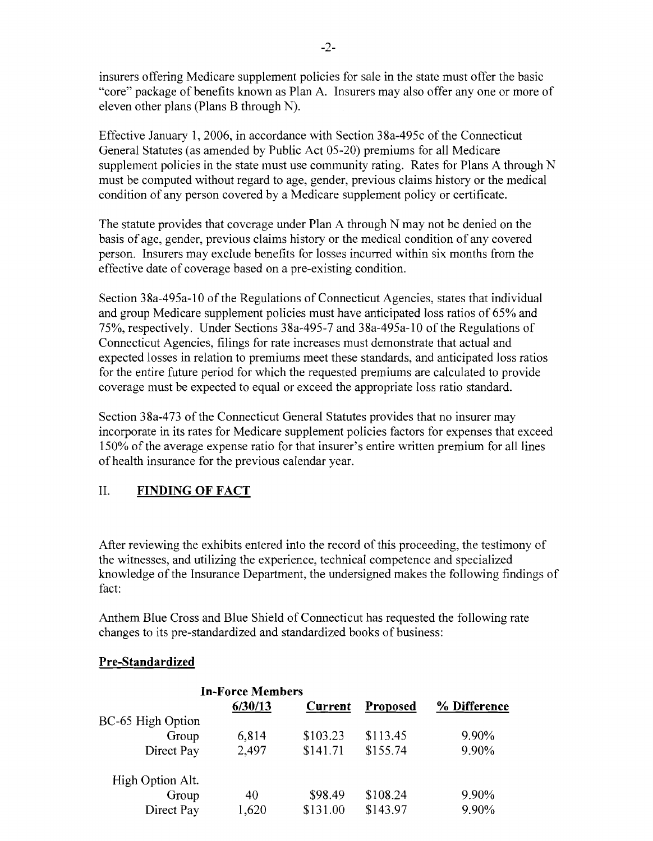insurers offering Medicare supplement policies for sale in the state must offer the basic "core" package of benefits known as Plan A. Insurers may also offer anyone or more of eleven other plans (Plans B through N).

Effective January 1,2006, in accordance with Section 38a-495c of the Connecticut General Statutes (as amended by Public Act 05-20) premiums for all Medicare supplement policies in the state must use community rating. Rates for Plans A through N must be computed without regard to age, gender, previous claims history or the medical condition of any person covered by a Medicare supplement policy or certificate.

The statute provides that coverage under Plan A through N may not be denied on the basis of age, gender, previous claims history or the medical condition of any covered person. Insurers may exclude benefits for losses incurred within six months from the effective date of coverage based on a pre-existing condition.

Section 38a-495a-l 0 of the Regulations of Connecticut Agencies, states that individual and group Medicare supplement policies must have anticipated loss ratios of 65% and 75%, respectively. Under Sections 38a-495-7 and 38a-495a-l0 of the Regulations of Connecticut Agencies, filings for rate increases must demonstrate that actual and expected losses in relation to premiums meet these standards, and anticipated loss ratios for the entire future period for which the requested premiums are calculated to provide coverage must be expected to equal or exceed the appropriate loss ratio standard.

Section 38a-473 of the Connecticut General Statutes provides that no insurer may incorporate in its rates for Medicare supplement policies factors for expenses that exceed 150% of the average expense ratio for that insurer's entire written premium for all lines of health insurance for the previous calendar year.

## II. **FINDING OF FACT**

After reviewing the exhibits entered into the record of this proceeding, the testimony of the witnesses, and utilizing the experience, technical competence and specialized knowledge of the Insurance Department, the undersigned makes the following findings of fact:

Anthem Blue Cross and Blue Shield of Connecticut has requested the following rate changes to its pre-standardized and standardized books of business:

## **Pre-Standardized**

|                   | <b>In-Force Members</b> |          |          |              |
|-------------------|-------------------------|----------|----------|--------------|
|                   | 6/30/13                 | Current  | Proposed | % Difference |
| BC-65 High Option |                         |          |          |              |
| Group             | 6,814                   | \$103.23 | \$113.45 | 9.90%        |
| Direct Pay        | 2,497                   | \$141.71 | \$155.74 | 9.90%        |
| High Option Alt.  |                         |          |          |              |
| Group             | 40                      | \$98.49  | \$108.24 | 9.90%        |
| Direct Pay        | 1,620                   | \$131.00 | \$143.97 | 9.90%        |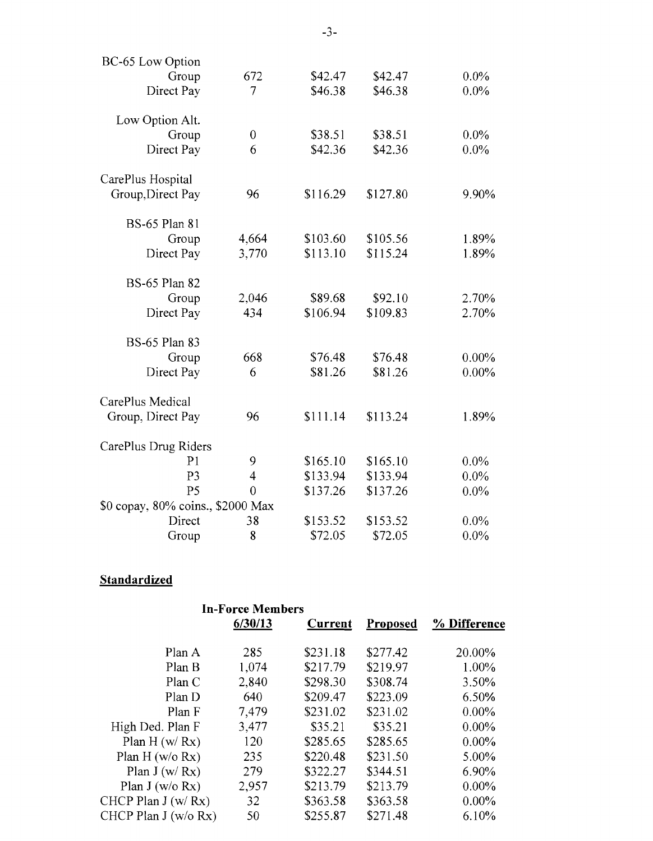| BC-65 Low Option                  |                  |          |          |          |
|-----------------------------------|------------------|----------|----------|----------|
| Group                             | 672              | \$42.47  | \$42.47  | 0.0%     |
| Direct Pay                        | 7                | \$46.38  | \$46.38  | 0.0%     |
| Low Option Alt.                   |                  |          |          |          |
| Group                             | $\boldsymbol{0}$ | \$38.51  | \$38.51  | $0.0\%$  |
| Direct Pay                        | 6                | \$42.36  | \$42.36  | 0.0%     |
| CarePlus Hospital                 |                  |          |          |          |
| Group, Direct Pay                 | 96               | \$116.29 | \$127.80 | 9.90%    |
| <b>BS-65 Plan 81</b>              |                  |          |          |          |
| Group                             | 4,664            | \$103.60 | \$105.56 | 1.89%    |
| Direct Pay                        | 3,770            | \$113.10 | \$115.24 | 1.89%    |
| <b>BS-65 Plan 82</b>              |                  |          |          |          |
| Group                             | 2,046            | \$89.68  | \$92.10  | 2.70%    |
| Direct Pay                        | 434              | \$106.94 | \$109.83 | 2.70%    |
| <b>BS-65 Plan 83</b>              |                  |          |          |          |
| Group                             | 668              | \$76.48  | \$76.48  | $0.00\%$ |
| Direct Pay                        | 6                | \$81.26  | \$81.26  | $0.00\%$ |
| CarePlus Medical                  |                  |          |          |          |
| Group, Direct Pay                 | 96               | \$111.14 | \$113.24 | 1.89%    |
| CarePlus Drug Riders              |                  |          |          |          |
| P <sub>1</sub>                    | 9                | \$165.10 | \$165.10 | 0.0%     |
| P <sub>3</sub>                    | $\overline{4}$   | \$133.94 | \$133.94 | 0.0%     |
| P <sub>5</sub>                    | $\overline{0}$   | \$137.26 | \$137.26 | $0.0\%$  |
| \$0 copay, 80% coins., \$2000 Max |                  |          |          |          |
| Direct                            | 38               | \$153.52 | \$153.52 | $0.0\%$  |
| Group                             | 8                | \$72.05  | \$72.05  | 0.0%     |

# **Standardized**

|                        | <b>In-Force Members</b> |          |                 |              |
|------------------------|-------------------------|----------|-----------------|--------------|
|                        | 6/30/13                 | Current  | <b>Proposed</b> | % Difference |
| Plan A                 | 285                     | \$231.18 | \$277.42        | 20.00%       |
| Plan B                 | 1,074                   | \$217.79 | \$219.97        | 1.00%        |
| Plan C                 | 2,840                   | \$298.30 | \$308.74        | 3.50%        |
| Plan D                 | 640                     | \$209.47 | \$223.09        | 6.50%        |
| Plan F                 | 7,479                   | \$231.02 | \$231.02        | $0.00\%$     |
| High Ded. Plan F       | 3,477                   | \$35.21  | \$35.21         | $0.00\%$     |
| Plan H $(w/Rx)$        | 120                     | \$285.65 | \$285.65        | $0.00\%$     |
| Plan H $(w/o Rx)$      | 235                     | \$220.48 | \$231.50        | 5.00%        |
| Plan J $(w/Rx)$        | 279                     | \$322.27 | \$344.51        | 6.90%        |
| Plan J (w/o Rx)        | 2,957                   | \$213.79 | \$213.79        | $0.00\%$     |
| CHCP Plan $J(w/Rx)$    | 32                      | \$363.58 | \$363.58        | $0.00\%$     |
| CHCP Plan J $(w/o Rx)$ | 50                      | \$255.87 | \$271.48        | 6.10%        |

-3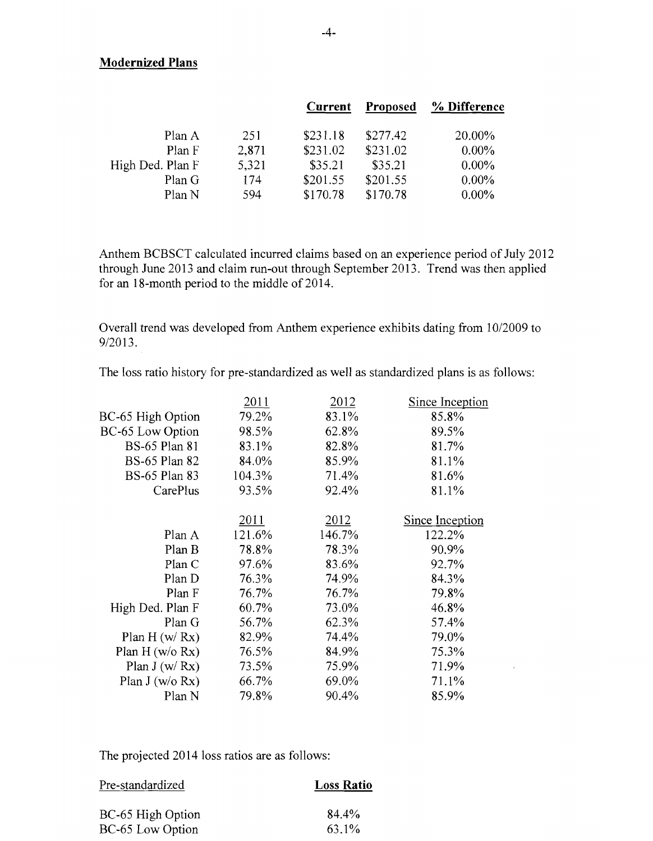#### **Modernized Plans**

|                  |       | Current  | <b>Proposed</b> | % Difference |
|------------------|-------|----------|-----------------|--------------|
| Plan A           | 251   | \$231.18 | \$277.42        | 20.00%       |
| Plan F           | 2,871 | \$231.02 | \$231.02        | $0.00\%$     |
| High Ded. Plan F | 5,321 | \$35.21  | \$35.21         | $0.00\%$     |
| Plan G           | 174   | \$201.55 | \$201.55        | $0.00\%$     |
| Plan N           | 594   | \$170.78 | \$170.78        | $0.00\%$     |
|                  |       |          |                 |              |

Anthem BCBSCT calculated incurred claims based on an experience period of July 2012 through June 2013 and claim run-out through September 2013. Trend was then applied for an 18-month period to the middle of 2014.

Overall trend was developed from Anthem experience exhibits dating from 10/2009 to 9/2013.

The loss ratio history for pre-standardized as well as standardized plans is as follows:

| 2011   | 2012   | Since Inception |
|--------|--------|-----------------|
| 79.2%  | 83.1%  | 85.8%           |
| 98.5%  | 62.8%  | 89.5%           |
| 83.1%  | 82.8%  | 81.7%           |
| 84.0%  | 85.9%  | 81.1%           |
| 104.3% | 71.4%  | 81.6%           |
| 93.5%  | 92.4%  | 81.1%           |
|        |        | Since Inception |
| 121.6% | 146.7% | 122.2%          |
| 78.8%  | 78.3%  | 90.9%           |
| 97.6%  | 83.6%  | 92.7%           |
| 76.3%  | 74.9%  | 84.3%           |
| 76.7%  | 76.7%  | 79.8%           |
| 60.7%  | 73.0%  | 46.8%           |
| 56.7%  | 62.3%  | 57.4%           |
| 82.9%  | 74.4%  | 79.0%           |
| 76.5%  | 84.9%  | 75.3%           |
| 73.5%  | 75.9%  | 71.9%           |
| 66.7%  | 69.0%  | 71.1%           |
| 79.8%  | 90.4%  | 85.9%           |
|        | 2011   | 2012            |

 $\sim$ 

The projected 2014 loss ratios are as follows:

| Pre-standardized  | <b>Loss Ratio</b> |
|-------------------|-------------------|
| BC-65 High Option | 84.4%             |
| BC-65 Low Option  | 63.1%             |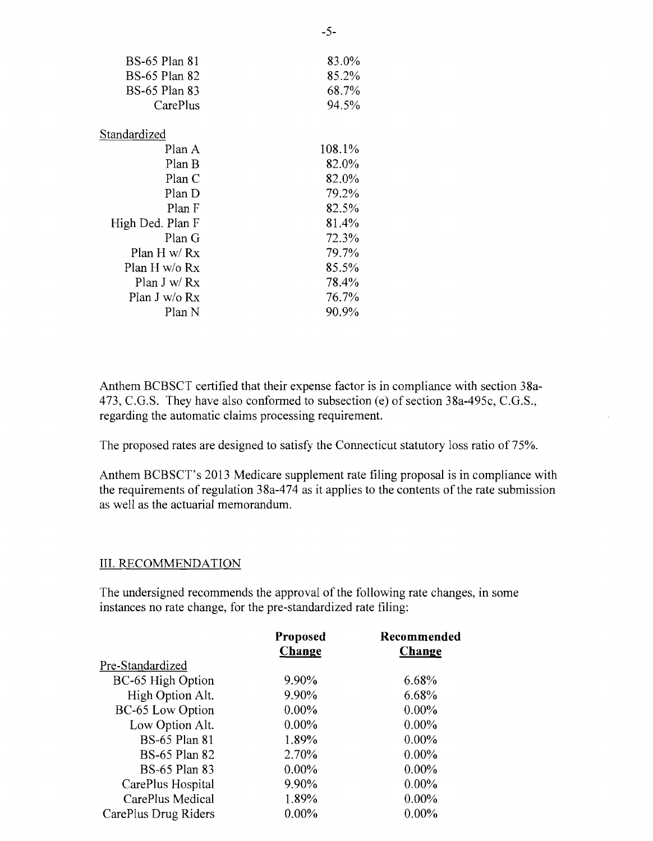| <b>BS-65 Plan 81</b> | 83.0%  |
|----------------------|--------|
| <b>BS-65 Plan 82</b> | 85.2%  |
| BS-65 Plan 83        | 68.7%  |
| CarePlus             | 94.5%  |
| Standardized         |        |
| Plan A               | 108.1% |
| Plan B               | 82.0%  |
| Plan C               | 82.0%  |
| Plan D               | 79.2%  |
| Plan F               | 82.5%  |
| High Ded. Plan F     | 81.4%  |
| Plan G               | 72.3%  |
| Plan H $w/Rx$        | 79.7%  |
| Plan H w/o Rx        | 85.5%  |
| Plan J w/ $Rx$       | 78.4%  |
| Plan J w/o Rx        | 76.7%  |
| Plan N               | 90.9%  |

Anthem BCBSCT certified that their expense factor is in compliance with section 38a-473, C.G.S. They have also conformed to subsection (e) of section 38a-495c, C.G.S., regarding the automatic claims processing requirement.

The proposed rates are designed to satisfy the Connecticut statutory loss ratio of 75%.

Anthem BCBSCT's 2013 Medicare supplement rate filing proposal is in compliance with the requirements of regulation 38a-474 as it applies to the contents of the rate submission as well as the actuarial memorandum.

#### III. RECOMMENDATION

The undersigned recommends the approval of the following rate changes, in some instances no rate change, for the pre-standardized rate filing:

|                      | Proposed | Recommended |
|----------------------|----------|-------------|
|                      | Change   | Change      |
| Pre-Standardized     |          |             |
| BC-65 High Option    | 9.90%    | 6.68%       |
| High Option Alt.     | 9.90%    | 6.68%       |
| BC-65 Low Option     | $0.00\%$ | $0.00\%$    |
| Low Option Alt.      | $0.00\%$ | $0.00\%$    |
| <b>BS-65 Plan 81</b> | 1.89%    | $0.00\%$    |
| <b>BS-65 Plan 82</b> | 2.70%    | $0.00\%$    |
| <b>BS-65 Plan 83</b> | $0.00\%$ | $0.00\%$    |
| CarePlus Hospital    | 9.90%    | $0.00\%$    |
| CarePlus Medical     | 1.89%    | $0.00\%$    |
| CarePlus Drug Riders | $0.00\%$ | $0.00\%$    |